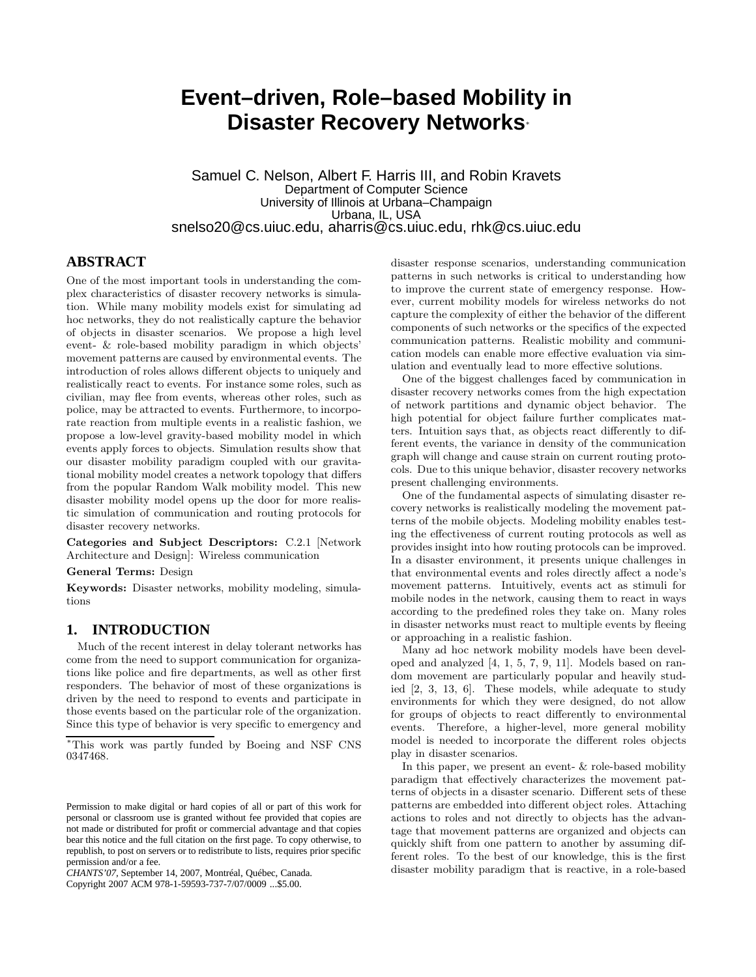# **Event–driven, Role–based Mobility in Disaster Recovery Networks**<sup>∗</sup>

Samuel C. Nelson, Albert F. Harris III, and Robin Kravets Department of Computer Science University of Illinois at Urbana–Champaign Urbana, IL, USA snelso20@cs.uiuc.edu, aharris@cs.uiuc.edu, rhk@cs.uiuc.edu

## **ABSTRACT**

One of the most important tools in understanding the complex characteristics of disaster recovery networks is simulation. While many mobility models exist for simulating ad hoc networks, they do not realistically capture the behavior of objects in disaster scenarios. We propose a high level event- & role-based mobility paradigm in which objects' movement patterns are caused by environmental events. The introduction of roles allows different objects to uniquely and realistically react to events. For instance some roles, such as civilian, may flee from events, whereas other roles, such as police, may be attracted to events. Furthermore, to incorporate reaction from multiple events in a realistic fashion, we propose a low-level gravity-based mobility model in which events apply forces to objects. Simulation results show that our disaster mobility paradigm coupled with our gravitational mobility model creates a network topology that differs from the popular Random Walk mobility model. This new disaster mobility model opens up the door for more realistic simulation of communication and routing protocols for disaster recovery networks.

Categories and Subject Descriptors: C.2.1 [Network Architecture and Design]: Wireless communication

General Terms: Design

Keywords: Disaster networks, mobility modeling, simulations

# **1. INTRODUCTION**

Much of the recent interest in delay tolerant networks has come from the need to support communication for organizations like police and fire departments, as well as other first responders. The behavior of most of these organizations is driven by the need to respond to events and participate in those events based on the particular role of the organization. Since this type of behavior is very specific to emergency and

*CHANTS'07,* September 14, 2007, Montréal, Québec, Canada.

Copyright 2007 ACM 978-1-59593-737-7/07/0009 ...\$5.00.

disaster response scenarios, understanding communication patterns in such networks is critical to understanding how to improve the current state of emergency response. However, current mobility models for wireless networks do not capture the complexity of either the behavior of the different components of such networks or the specifics of the expected communication patterns. Realistic mobility and communication models can enable more effective evaluation via simulation and eventually lead to more effective solutions.

One of the biggest challenges faced by communication in disaster recovery networks comes from the high expectation of network partitions and dynamic object behavior. The high potential for object failure further complicates matters. Intuition says that, as objects react differently to different events, the variance in density of the communication graph will change and cause strain on current routing protocols. Due to this unique behavior, disaster recovery networks present challenging environments.

One of the fundamental aspects of simulating disaster recovery networks is realistically modeling the movement patterns of the mobile objects. Modeling mobility enables testing the effectiveness of current routing protocols as well as provides insight into how routing protocols can be improved. In a disaster environment, it presents unique challenges in that environmental events and roles directly affect a node's movement patterns. Intuitively, events act as stimuli for mobile nodes in the network, causing them to react in ways according to the predefined roles they take on. Many roles in disaster networks must react to multiple events by fleeing or approaching in a realistic fashion.

Many ad hoc network mobility models have been developed and analyzed [4, 1, 5, 7, 9, 11]. Models based on random movement are particularly popular and heavily studied [2, 3, 13, 6]. These models, while adequate to study environments for which they were designed, do not allow for groups of objects to react differently to environmental events. Therefore, a higher-level, more general mobility model is needed to incorporate the different roles objects play in disaster scenarios.

In this paper, we present an event- & role-based mobility paradigm that effectively characterizes the movement patterns of objects in a disaster scenario. Different sets of these patterns are embedded into different object roles. Attaching actions to roles and not directly to objects has the advantage that movement patterns are organized and objects can quickly shift from one pattern to another by assuming different roles. To the best of our knowledge, this is the first disaster mobility paradigm that is reactive, in a role-based

<sup>∗</sup>This work was partly funded by Boeing and NSF CNS 0347468.

Permission to make digital or hard copies of all or part of this work for personal or classroom use is granted without fee provided that copies are not made or distributed for profit or commercial advantage and that copies bear this notice and the full citation on the first page. To copy otherwise, to republish, to post on servers or to redistribute to lists, requires prior specific permission and/or a fee.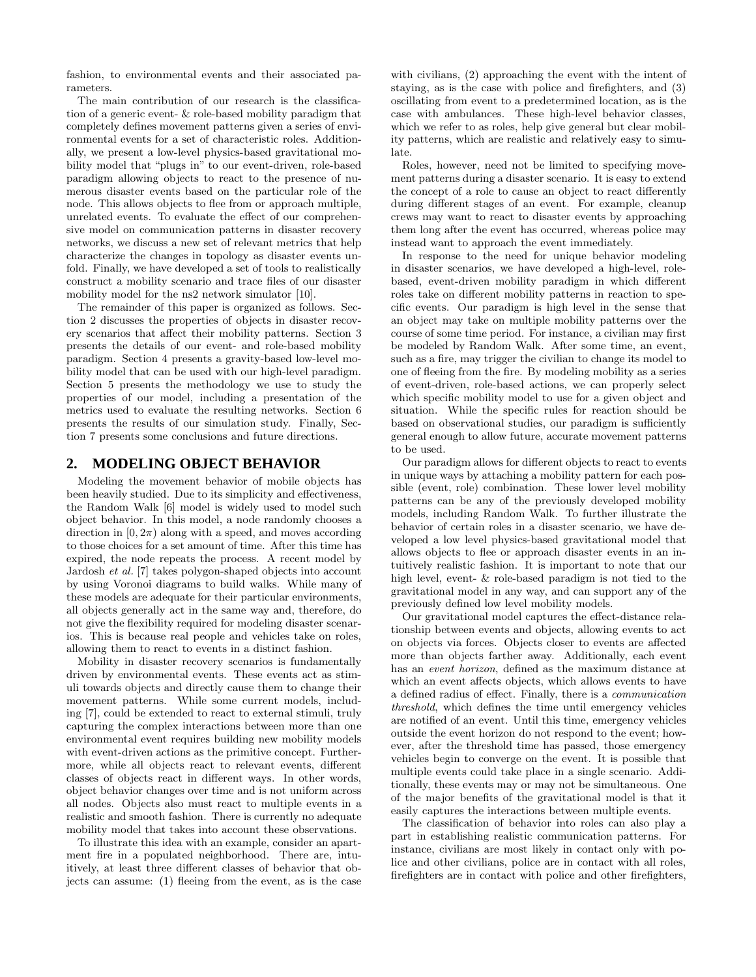fashion, to environmental events and their associated parameters.

The main contribution of our research is the classification of a generic event- & role-based mobility paradigm that completely defines movement patterns given a series of environmental events for a set of characteristic roles. Additionally, we present a low-level physics-based gravitational mobility model that "plugs in" to our event-driven, role-based paradigm allowing objects to react to the presence of numerous disaster events based on the particular role of the node. This allows objects to flee from or approach multiple, unrelated events. To evaluate the effect of our comprehensive model on communication patterns in disaster recovery networks, we discuss a new set of relevant metrics that help characterize the changes in topology as disaster events unfold. Finally, we have developed a set of tools to realistically construct a mobility scenario and trace files of our disaster mobility model for the ns2 network simulator [10].

The remainder of this paper is organized as follows. Section 2 discusses the properties of objects in disaster recovery scenarios that affect their mobility patterns. Section 3 presents the details of our event- and role-based mobility paradigm. Section 4 presents a gravity-based low-level mobility model that can be used with our high-level paradigm. Section 5 presents the methodology we use to study the properties of our model, including a presentation of the metrics used to evaluate the resulting networks. Section 6 presents the results of our simulation study. Finally, Section 7 presents some conclusions and future directions.

#### **2. MODELING OBJECT BEHAVIOR**

Modeling the movement behavior of mobile objects has been heavily studied. Due to its simplicity and effectiveness, the Random Walk [6] model is widely used to model such object behavior. In this model, a node randomly chooses a direction in  $[0, 2\pi)$  along with a speed, and moves according to those choices for a set amount of time. After this time has expired, the node repeats the process. A recent model by Jardosh et al. [7] takes polygon-shaped objects into account by using Voronoi diagrams to build walks. While many of these models are adequate for their particular environments, all objects generally act in the same way and, therefore, do not give the flexibility required for modeling disaster scenarios. This is because real people and vehicles take on roles, allowing them to react to events in a distinct fashion.

Mobility in disaster recovery scenarios is fundamentally driven by environmental events. These events act as stimuli towards objects and directly cause them to change their movement patterns. While some current models, including [7], could be extended to react to external stimuli, truly capturing the complex interactions between more than one environmental event requires building new mobility models with event-driven actions as the primitive concept. Furthermore, while all objects react to relevant events, different classes of objects react in different ways. In other words, object behavior changes over time and is not uniform across all nodes. Objects also must react to multiple events in a realistic and smooth fashion. There is currently no adequate mobility model that takes into account these observations.

To illustrate this idea with an example, consider an apartment fire in a populated neighborhood. There are, intuitively, at least three different classes of behavior that objects can assume: (1) fleeing from the event, as is the case with civilians, (2) approaching the event with the intent of staying, as is the case with police and firefighters, and (3) oscillating from event to a predetermined location, as is the case with ambulances. These high-level behavior classes, which we refer to as roles, help give general but clear mobility patterns, which are realistic and relatively easy to simulate.

Roles, however, need not be limited to specifying movement patterns during a disaster scenario. It is easy to extend the concept of a role to cause an object to react differently during different stages of an event. For example, cleanup crews may want to react to disaster events by approaching them long after the event has occurred, whereas police may instead want to approach the event immediately.

In response to the need for unique behavior modeling in disaster scenarios, we have developed a high-level, rolebased, event-driven mobility paradigm in which different roles take on different mobility patterns in reaction to specific events. Our paradigm is high level in the sense that an object may take on multiple mobility patterns over the course of some time period. For instance, a civilian may first be modeled by Random Walk. After some time, an event, such as a fire, may trigger the civilian to change its model to one of fleeing from the fire. By modeling mobility as a series of event-driven, role-based actions, we can properly select which specific mobility model to use for a given object and situation. While the specific rules for reaction should be based on observational studies, our paradigm is sufficiently general enough to allow future, accurate movement patterns to be used.

Our paradigm allows for different objects to react to events in unique ways by attaching a mobility pattern for each possible (event, role) combination. These lower level mobility patterns can be any of the previously developed mobility models, including Random Walk. To further illustrate the behavior of certain roles in a disaster scenario, we have developed a low level physics-based gravitational model that allows objects to flee or approach disaster events in an intuitively realistic fashion. It is important to note that our high level, event- & role-based paradigm is not tied to the gravitational model in any way, and can support any of the previously defined low level mobility models.

Our gravitational model captures the effect-distance relationship between events and objects, allowing events to act on objects via forces. Objects closer to events are affected more than objects farther away. Additionally, each event has an event horizon, defined as the maximum distance at which an event affects objects, which allows events to have a defined radius of effect. Finally, there is a communication threshold, which defines the time until emergency vehicles are notified of an event. Until this time, emergency vehicles outside the event horizon do not respond to the event; however, after the threshold time has passed, those emergency vehicles begin to converge on the event. It is possible that multiple events could take place in a single scenario. Additionally, these events may or may not be simultaneous. One of the major benefits of the gravitational model is that it easily captures the interactions between multiple events.

The classification of behavior into roles can also play a part in establishing realistic communication patterns. For instance, civilians are most likely in contact only with police and other civilians, police are in contact with all roles, firefighters are in contact with police and other firefighters,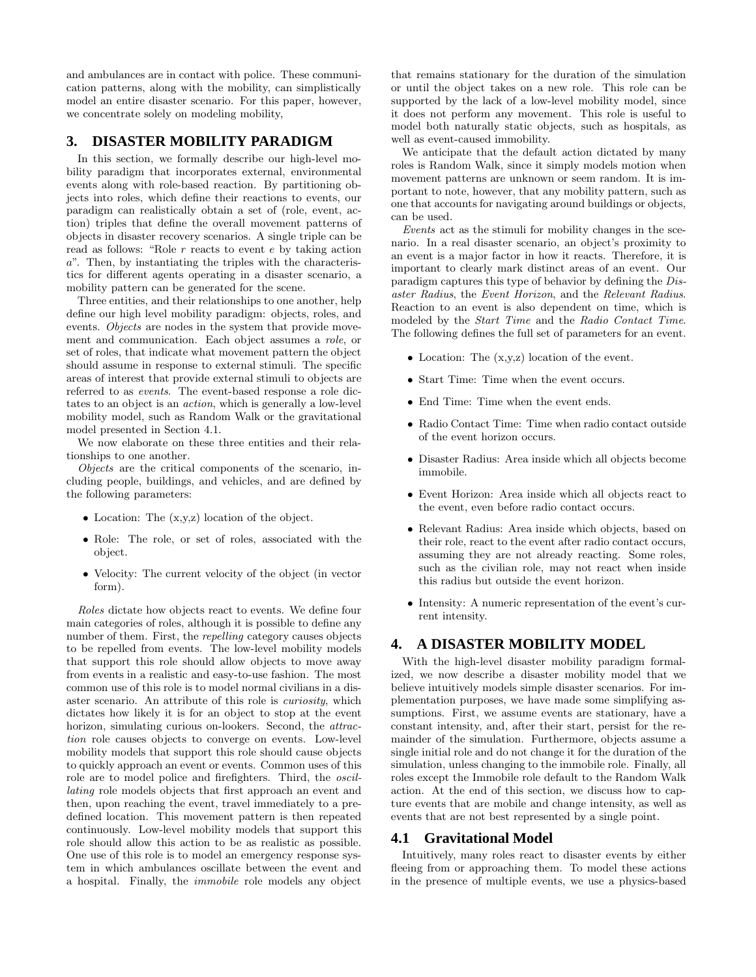and ambulances are in contact with police. These communication patterns, along with the mobility, can simplistically model an entire disaster scenario. For this paper, however, we concentrate solely on modeling mobility,

# **3. DISASTER MOBILITY PARADIGM**

In this section, we formally describe our high-level mobility paradigm that incorporates external, environmental events along with role-based reaction. By partitioning objects into roles, which define their reactions to events, our paradigm can realistically obtain a set of (role, event, action) triples that define the overall movement patterns of objects in disaster recovery scenarios. A single triple can be read as follows: "Role  $r$  reacts to event  $e$  by taking action a". Then, by instantiating the triples with the characteristics for different agents operating in a disaster scenario, a mobility pattern can be generated for the scene.

Three entities, and their relationships to one another, help define our high level mobility paradigm: objects, roles, and events. Objects are nodes in the system that provide movement and communication. Each object assumes a role, or set of roles, that indicate what movement pattern the object should assume in response to external stimuli. The specific areas of interest that provide external stimuli to objects are referred to as *events*. The event-based response a role dictates to an object is an action, which is generally a low-level mobility model, such as Random Walk or the gravitational model presented in Section 4.1.

We now elaborate on these three entities and their relationships to one another.

Objects are the critical components of the scenario, including people, buildings, and vehicles, and are defined by the following parameters:

- Location: The  $(x,y,z)$  location of the object.
- Role: The role, or set of roles, associated with the object.
- Velocity: The current velocity of the object (in vector form).

Roles dictate how objects react to events. We define four main categories of roles, although it is possible to define any number of them. First, the repelling category causes objects to be repelled from events. The low-level mobility models that support this role should allow objects to move away from events in a realistic and easy-to-use fashion. The most common use of this role is to model normal civilians in a disaster scenario. An attribute of this role is curiosity, which dictates how likely it is for an object to stop at the event horizon, simulating curious on-lookers. Second, the *attrac*tion role causes objects to converge on events. Low-level mobility models that support this role should cause objects to quickly approach an event or events. Common uses of this role are to model police and firefighters. Third, the *oscil*lating role models objects that first approach an event and then, upon reaching the event, travel immediately to a predefined location. This movement pattern is then repeated continuously. Low-level mobility models that support this role should allow this action to be as realistic as possible. One use of this role is to model an emergency response system in which ambulances oscillate between the event and a hospital. Finally, the immobile role models any object that remains stationary for the duration of the simulation or until the object takes on a new role. This role can be supported by the lack of a low-level mobility model, since it does not perform any movement. This role is useful to model both naturally static objects, such as hospitals, as well as event-caused immobility.

We anticipate that the default action dictated by many roles is Random Walk, since it simply models motion when movement patterns are unknown or seem random. It is important to note, however, that any mobility pattern, such as one that accounts for navigating around buildings or objects, can be used.

Events act as the stimuli for mobility changes in the scenario. In a real disaster scenario, an object's proximity to an event is a major factor in how it reacts. Therefore, it is important to clearly mark distinct areas of an event. Our paradigm captures this type of behavior by defining the Disaster Radius, the Event Horizon, and the Relevant Radius. Reaction to an event is also dependent on time, which is modeled by the Start Time and the Radio Contact Time. The following defines the full set of parameters for an event.

- Location: The (x,y,z) location of the event.
- Start Time: Time when the event occurs.
- End Time: Time when the event ends.
- Radio Contact Time: Time when radio contact outside of the event horizon occurs.
- Disaster Radius: Area inside which all objects become immobile.
- Event Horizon: Area inside which all objects react to the event, even before radio contact occurs.
- Relevant Radius: Area inside which objects, based on their role, react to the event after radio contact occurs, assuming they are not already reacting. Some roles, such as the civilian role, may not react when inside this radius but outside the event horizon.
- Intensity: A numeric representation of the event's current intensity.

# **4. A DISASTER MOBILITY MODEL**

With the high-level disaster mobility paradigm formalized, we now describe a disaster mobility model that we believe intuitively models simple disaster scenarios. For implementation purposes, we have made some simplifying assumptions. First, we assume events are stationary, have a constant intensity, and, after their start, persist for the remainder of the simulation. Furthermore, objects assume a single initial role and do not change it for the duration of the simulation, unless changing to the immobile role. Finally, all roles except the Immobile role default to the Random Walk action. At the end of this section, we discuss how to capture events that are mobile and change intensity, as well as events that are not best represented by a single point.

#### **4.1 Gravitational Model**

Intuitively, many roles react to disaster events by either fleeing from or approaching them. To model these actions in the presence of multiple events, we use a physics-based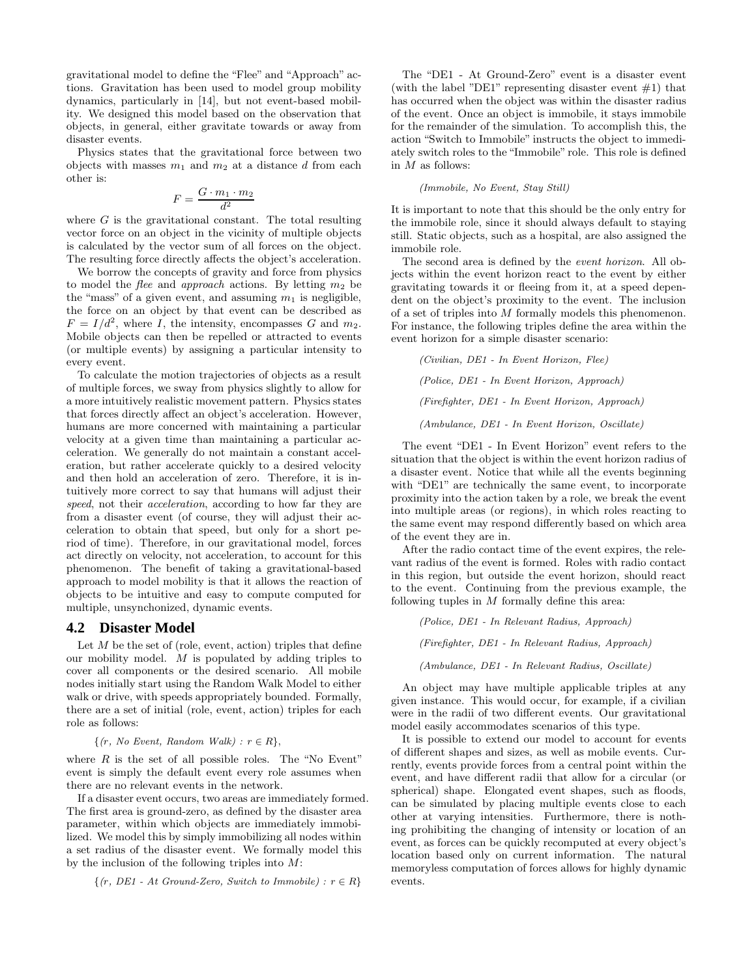gravitational model to define the "Flee" and "Approach" actions. Gravitation has been used to model group mobility dynamics, particularly in [14], but not event-based mobility. We designed this model based on the observation that objects, in general, either gravitate towards or away from disaster events.

Physics states that the gravitational force between two objects with masses  $m_1$  and  $m_2$  at a distance d from each other is:

$$
F = \frac{G \cdot m_1 \cdot m_2}{d^2}
$$

where  $G$  is the gravitational constant. The total resulting vector force on an object in the vicinity of multiple objects is calculated by the vector sum of all forces on the object. The resulting force directly affects the object's acceleration.

We borrow the concepts of gravity and force from physics to model the *flee* and *approach* actions. By letting  $m_2$  be the "mass" of a given event, and assuming  $m_1$  is negligible, the force on an object by that event can be described as  $F = I/d^2$ , where I, the intensity, encompasses G and  $m_2$ . Mobile objects can then be repelled or attracted to events (or multiple events) by assigning a particular intensity to every event.

To calculate the motion trajectories of objects as a result of multiple forces, we sway from physics slightly to allow for a more intuitively realistic movement pattern. Physics states that forces directly affect an object's acceleration. However, humans are more concerned with maintaining a particular velocity at a given time than maintaining a particular acceleration. We generally do not maintain a constant acceleration, but rather accelerate quickly to a desired velocity and then hold an acceleration of zero. Therefore, it is intuitively more correct to say that humans will adjust their speed, not their *acceleration*, according to how far they are from a disaster event (of course, they will adjust their acceleration to obtain that speed, but only for a short period of time). Therefore, in our gravitational model, forces act directly on velocity, not acceleration, to account for this phenomenon. The benefit of taking a gravitational-based approach to model mobility is that it allows the reaction of objects to be intuitive and easy to compute computed for multiple, unsynchonized, dynamic events.

#### **4.2 Disaster Model**

Let  $M$  be the set of (role, event, action) triples that define our mobility model.  $\dot{M}$  is populated by adding triples to cover all components or the desired scenario. All mobile nodes initially start using the Random Walk Model to either walk or drive, with speeds appropriately bounded. Formally, there are a set of initial (role, event, action) triples for each role as follows:

 $\{(r, No Event, Random Walk): r \in R\},\$ 

where  $R$  is the set of all possible roles. The "No Event" event is simply the default event every role assumes when there are no relevant events in the network.

If a disaster event occurs, two areas are immediately formed. The first area is ground-zero, as defined by the disaster area parameter, within which objects are immediately immobilized. We model this by simply immobilizing all nodes within a set radius of the disaster event. We formally model this by the inclusion of the following triples into  $M$ :

```
\{(r, DE1 - At Ground-Zero, Switch to Immobile): r \in R\}
```
The "DE1 - At Ground-Zero" event is a disaster event (with the label "DE1" representing disaster event  $\#1$ ) that has occurred when the object was within the disaster radius of the event. Once an object is immobile, it stays immobile for the remainder of the simulation. To accomplish this, the action "Switch to Immobile" instructs the object to immediately switch roles to the "Immobile" role. This role is defined in  $M$  as follows:

#### (Immobile, No Event, Stay Still)

It is important to note that this should be the only entry for the immobile role, since it should always default to staying still. Static objects, such as a hospital, are also assigned the immobile role.

The second area is defined by the event horizon. All objects within the event horizon react to the event by either gravitating towards it or fleeing from it, at a speed dependent on the object's proximity to the event. The inclusion of a set of triples into M formally models this phenomenon. For instance, the following triples define the area within the event horizon for a simple disaster scenario:

(Civilian, DE1 - In Event Horizon, Flee) (Police, DE1 - In Event Horizon, Approach) (Firefighter, DE1 - In Event Horizon, Approach) (Ambulance, DE1 - In Event Horizon, Oscillate)

The event "DE1 - In Event Horizon" event refers to the situation that the object is within the event horizon radius of a disaster event. Notice that while all the events beginning with "DE1" are technically the same event, to incorporate proximity into the action taken by a role, we break the event into multiple areas (or regions), in which roles reacting to the same event may respond differently based on which area of the event they are in.

After the radio contact time of the event expires, the relevant radius of the event is formed. Roles with radio contact in this region, but outside the event horizon, should react to the event. Continuing from the previous example, the following tuples in  $M$  formally define this area:

(Police, DE1 - In Relevant Radius, Approach)

(Firefighter, DE1 - In Relevant Radius, Approach)

(Ambulance, DE1 - In Relevant Radius, Oscillate)

An object may have multiple applicable triples at any given instance. This would occur, for example, if a civilian were in the radii of two different events. Our gravitational model easily accommodates scenarios of this type.

It is possible to extend our model to account for events of different shapes and sizes, as well as mobile events. Currently, events provide forces from a central point within the event, and have different radii that allow for a circular (or spherical) shape. Elongated event shapes, such as floods, can be simulated by placing multiple events close to each other at varying intensities. Furthermore, there is nothing prohibiting the changing of intensity or location of an event, as forces can be quickly recomputed at every object's location based only on current information. The natural memoryless computation of forces allows for highly dynamic events.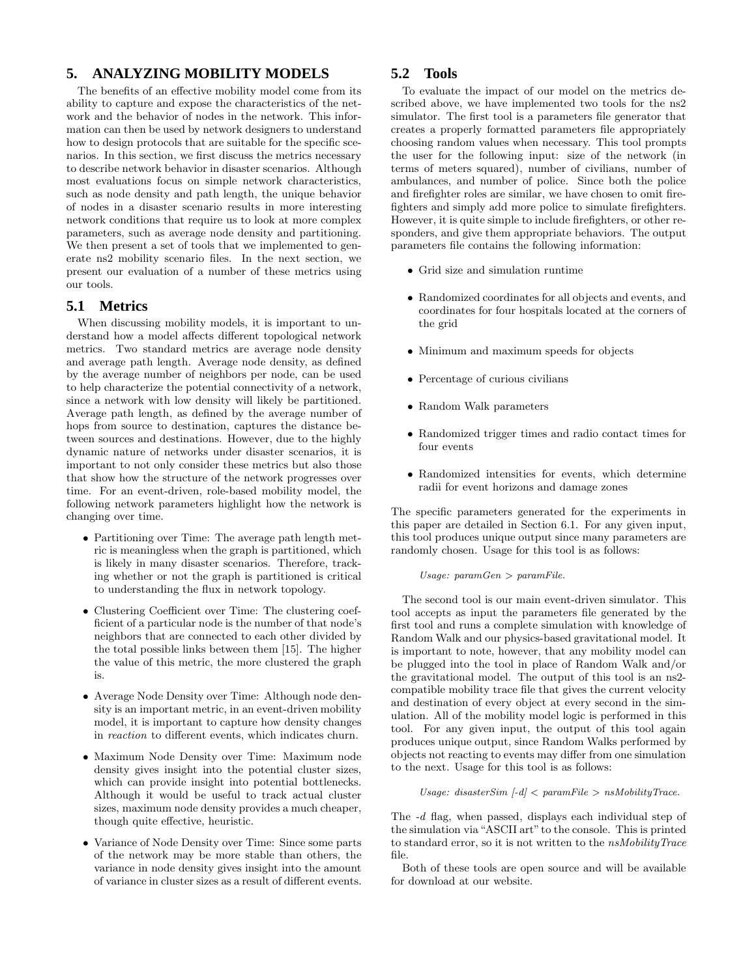## **5. ANALYZING MOBILITY MODELS**

The benefits of an effective mobility model come from its ability to capture and expose the characteristics of the network and the behavior of nodes in the network. This information can then be used by network designers to understand how to design protocols that are suitable for the specific scenarios. In this section, we first discuss the metrics necessary to describe network behavior in disaster scenarios. Although most evaluations focus on simple network characteristics, such as node density and path length, the unique behavior of nodes in a disaster scenario results in more interesting network conditions that require us to look at more complex parameters, such as average node density and partitioning. We then present a set of tools that we implemented to generate ns2 mobility scenario files. In the next section, we present our evaluation of a number of these metrics using our tools.

#### **5.1 Metrics**

When discussing mobility models, it is important to understand how a model affects different topological network metrics. Two standard metrics are average node density and average path length. Average node density, as defined by the average number of neighbors per node, can be used to help characterize the potential connectivity of a network, since a network with low density will likely be partitioned. Average path length, as defined by the average number of hops from source to destination, captures the distance between sources and destinations. However, due to the highly dynamic nature of networks under disaster scenarios, it is important to not only consider these metrics but also those that show how the structure of the network progresses over time. For an event-driven, role-based mobility model, the following network parameters highlight how the network is changing over time.

- Partitioning over Time: The average path length metric is meaningless when the graph is partitioned, which is likely in many disaster scenarios. Therefore, tracking whether or not the graph is partitioned is critical to understanding the flux in network topology.
- Clustering Coefficient over Time: The clustering coefficient of a particular node is the number of that node's neighbors that are connected to each other divided by the total possible links between them [15]. The higher the value of this metric, the more clustered the graph is.
- Average Node Density over Time: Although node density is an important metric, in an event-driven mobility model, it is important to capture how density changes in reaction to different events, which indicates churn.
- Maximum Node Density over Time: Maximum node density gives insight into the potential cluster sizes, which can provide insight into potential bottlenecks. Although it would be useful to track actual cluster sizes, maximum node density provides a much cheaper, though quite effective, heuristic.
- Variance of Node Density over Time: Since some parts of the network may be more stable than others, the variance in node density gives insight into the amount of variance in cluster sizes as a result of different events.

#### **5.2 Tools**

To evaluate the impact of our model on the metrics described above, we have implemented two tools for the ns2 simulator. The first tool is a parameters file generator that creates a properly formatted parameters file appropriately choosing random values when necessary. This tool prompts the user for the following input: size of the network (in terms of meters squared), number of civilians, number of ambulances, and number of police. Since both the police and firefighter roles are similar, we have chosen to omit firefighters and simply add more police to simulate firefighters. However, it is quite simple to include firefighters, or other responders, and give them appropriate behaviors. The output parameters file contains the following information:

- Grid size and simulation runtime
- Randomized coordinates for all objects and events, and coordinates for four hospitals located at the corners of the grid
- Minimum and maximum speeds for objects
- Percentage of curious civilians
- Random Walk parameters
- Randomized trigger times and radio contact times for four events
- Randomized intensities for events, which determine radii for event horizons and damage zones

The specific parameters generated for the experiments in this paper are detailed in Section 6.1. For any given input, this tool produces unique output since many parameters are randomly chosen. Usage for this tool is as follows:

#### Usage:  $paramGen > paramFile.$

The second tool is our main event-driven simulator. This tool accepts as input the parameters file generated by the first tool and runs a complete simulation with knowledge of Random Walk and our physics-based gravitational model. It is important to note, however, that any mobility model can be plugged into the tool in place of Random Walk and/or the gravitational model. The output of this tool is an ns2 compatible mobility trace file that gives the current velocity and destination of every object at every second in the simulation. All of the mobility model logic is performed in this tool. For any given input, the output of this tool again produces unique output, since Random Walks performed by objects not reacting to events may differ from one simulation to the next. Usage for this tool is as follows:

#### Usage: disasterSim  $\lceil -d \rceil <$  paramFile > nsMobilityTrace.

The -d flag, when passed, displays each individual step of the simulation via "ASCII art" to the console. This is printed to standard error, so it is not written to the nsMobilityTrace file.

Both of these tools are open source and will be available for download at our website.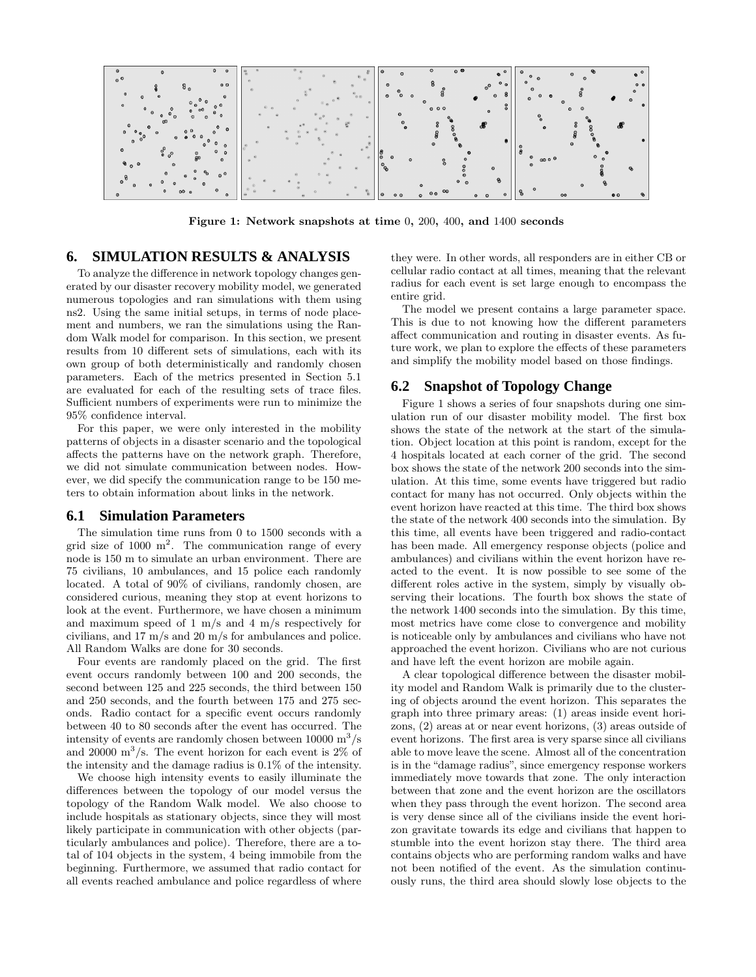

Figure 1: Network snapshots at time 0, 200, 400, and 1400 seconds

## **6. SIMULATION RESULTS & ANALYSIS**

To analyze the difference in network topology changes generated by our disaster recovery mobility model, we generated numerous topologies and ran simulations with them using ns2. Using the same initial setups, in terms of node placement and numbers, we ran the simulations using the Random Walk model for comparison. In this section, we present results from 10 different sets of simulations, each with its own group of both deterministically and randomly chosen parameters. Each of the metrics presented in Section 5.1 are evaluated for each of the resulting sets of trace files. Sufficient numbers of experiments were run to minimize the 95% confidence interval.

For this paper, we were only interested in the mobility patterns of objects in a disaster scenario and the topological affects the patterns have on the network graph. Therefore, we did not simulate communication between nodes. However, we did specify the communication range to be 150 meters to obtain information about links in the network.

#### **6.1 Simulation Parameters**

The simulation time runs from 0 to 1500 seconds with a grid size of  $1000 \text{ m}^2$ . The communication range of every node is 150 m to simulate an urban environment. There are 75 civilians, 10 ambulances, and 15 police each randomly located. A total of 90% of civilians, randomly chosen, are considered curious, meaning they stop at event horizons to look at the event. Furthermore, we have chosen a minimum and maximum speed of 1 m/s and 4 m/s respectively for civilians, and 17 m/s and 20 m/s for ambulances and police. All Random Walks are done for 30 seconds.

Four events are randomly placed on the grid. The first event occurs randomly between 100 and 200 seconds, the second between 125 and 225 seconds, the third between 150 and 250 seconds, and the fourth between 175 and 275 seconds. Radio contact for a specific event occurs randomly between 40 to 80 seconds after the event has occurred. The intensity of events are randomly chosen between  $10000 \text{ m}^3/\text{s}$ and 20000  $\mathrm{m}^3/\mathrm{s}$ . The event horizon for each event is 2% of the intensity and the damage radius is 0.1% of the intensity.

We choose high intensity events to easily illuminate the differences between the topology of our model versus the topology of the Random Walk model. We also choose to include hospitals as stationary objects, since they will most likely participate in communication with other objects (particularly ambulances and police). Therefore, there are a total of 104 objects in the system, 4 being immobile from the beginning. Furthermore, we assumed that radio contact for all events reached ambulance and police regardless of where

they were. In other words, all responders are in either CB or cellular radio contact at all times, meaning that the relevant radius for each event is set large enough to encompass the entire grid.

The model we present contains a large parameter space. This is due to not knowing how the different parameters affect communication and routing in disaster events. As future work, we plan to explore the effects of these parameters and simplify the mobility model based on those findings.

## **6.2 Snapshot of Topology Change**

Figure 1 shows a series of four snapshots during one simulation run of our disaster mobility model. The first box shows the state of the network at the start of the simulation. Object location at this point is random, except for the 4 hospitals located at each corner of the grid. The second box shows the state of the network 200 seconds into the simulation. At this time, some events have triggered but radio contact for many has not occurred. Only objects within the event horizon have reacted at this time. The third box shows the state of the network 400 seconds into the simulation. By this time, all events have been triggered and radio-contact has been made. All emergency response objects (police and ambulances) and civilians within the event horizon have reacted to the event. It is now possible to see some of the different roles active in the system, simply by visually observing their locations. The fourth box shows the state of the network 1400 seconds into the simulation. By this time, most metrics have come close to convergence and mobility is noticeable only by ambulances and civilians who have not approached the event horizon. Civilians who are not curious and have left the event horizon are mobile again.

A clear topological difference between the disaster mobility model and Random Walk is primarily due to the clustering of objects around the event horizon. This separates the graph into three primary areas: (1) areas inside event horizons, (2) areas at or near event horizons, (3) areas outside of event horizons. The first area is very sparse since all civilians able to move leave the scene. Almost all of the concentration is in the "damage radius", since emergency response workers immediately move towards that zone. The only interaction between that zone and the event horizon are the oscillators when they pass through the event horizon. The second area is very dense since all of the civilians inside the event horizon gravitate towards its edge and civilians that happen to stumble into the event horizon stay there. The third area contains objects who are performing random walks and have not been notified of the event. As the simulation continuously runs, the third area should slowly lose objects to the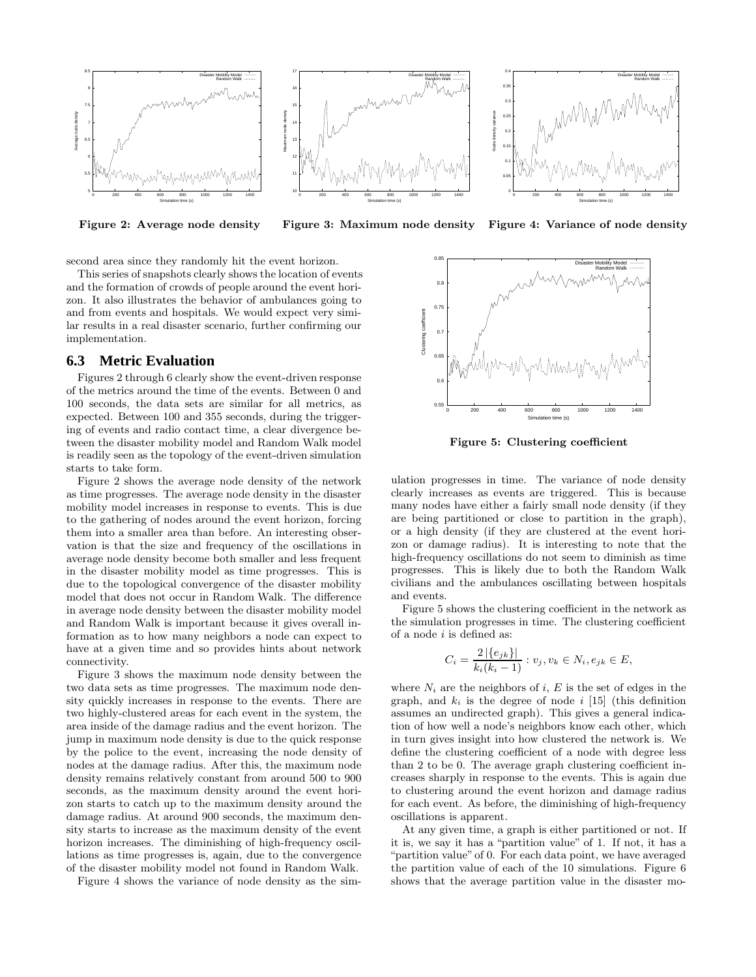

Figure 2: Average node density



 0 0.05 0.1 0.15 0.2 0.25 0 200 400 600 800 1000 1200 1400 Node density variance Simulation time (s)

Disaster Mobility Model Random Walk

Figure 3: Maximum node density

Figure 4: Variance of node density

second area since they randomly hit the event horizon.

This series of snapshots clearly shows the location of events and the formation of crowds of people around the event horizon. It also illustrates the behavior of ambulances going to and from events and hospitals. We would expect very similar results in a real disaster scenario, further confirming our implementation.

#### **6.3 Metric Evaluation**

Figures 2 through 6 clearly show the event-driven response of the metrics around the time of the events. Between 0 and 100 seconds, the data sets are similar for all metrics, as expected. Between 100 and 355 seconds, during the triggering of events and radio contact time, a clear divergence between the disaster mobility model and Random Walk model is readily seen as the topology of the event-driven simulation starts to take form.

Figure 2 shows the average node density of the network as time progresses. The average node density in the disaster mobility model increases in response to events. This is due to the gathering of nodes around the event horizon, forcing them into a smaller area than before. An interesting observation is that the size and frequency of the oscillations in average node density become both smaller and less frequent in the disaster mobility model as time progresses. This is due to the topological convergence of the disaster mobility model that does not occur in Random Walk. The difference in average node density between the disaster mobility model and Random Walk is important because it gives overall information as to how many neighbors a node can expect to have at a given time and so provides hints about network connectivity.

Figure 3 shows the maximum node density between the two data sets as time progresses. The maximum node density quickly increases in response to the events. There are two highly-clustered areas for each event in the system, the area inside of the damage radius and the event horizon. The jump in maximum node density is due to the quick response by the police to the event, increasing the node density of nodes at the damage radius. After this, the maximum node density remains relatively constant from around 500 to 900 seconds, as the maximum density around the event horizon starts to catch up to the maximum density around the damage radius. At around 900 seconds, the maximum density starts to increase as the maximum density of the event horizon increases. The diminishing of high-frequency oscillations as time progresses is, again, due to the convergence of the disaster mobility model not found in Random Walk.

Figure 4 shows the variance of node density as the sim-



 0.3 0.35 0.4

Figure 5: Clustering coefficient

ulation progresses in time. The variance of node density clearly increases as events are triggered. This is because many nodes have either a fairly small node density (if they are being partitioned or close to partition in the graph), or a high density (if they are clustered at the event horizon or damage radius). It is interesting to note that the high-frequency oscillations do not seem to diminish as time progresses. This is likely due to both the Random Walk civilians and the ambulances oscillating between hospitals and events.

Figure 5 shows the clustering coefficient in the network as the simulation progresses in time. The clustering coefficient of a node  $i$  is defined as:

$$
C_i = \frac{2 |\{e_{jk}\}|}{k_i (k_i - 1)} : v_j, v_k \in N_i, e_{jk} \in E,
$$

where  $N_i$  are the neighbors of i, E is the set of edges in the graph, and  $k_i$  is the degree of node i [15] (this definition assumes an undirected graph). This gives a general indication of how well a node's neighbors know each other, which in turn gives insight into how clustered the network is. We define the clustering coefficient of a node with degree less than 2 to be 0. The average graph clustering coefficient increases sharply in response to the events. This is again due to clustering around the event horizon and damage radius for each event. As before, the diminishing of high-frequency oscillations is apparent.

At any given time, a graph is either partitioned or not. If it is, we say it has a "partition value" of 1. If not, it has a "partition value" of 0. For each data point, we have averaged the partition value of each of the 10 simulations. Figure 6 shows that the average partition value in the disaster mo-